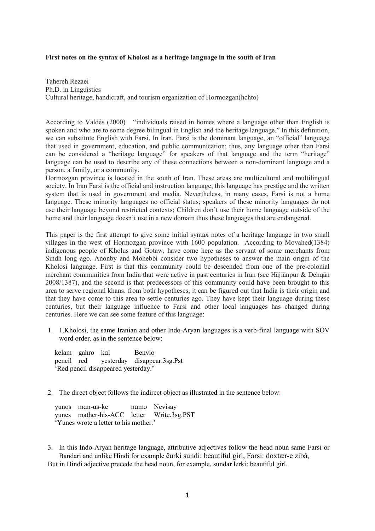## **First notes on the syntax of Kholosi as a heritage language in the south of Iran**

Tahereh Rezaei Ph.D. in Linguistics Cultural heritage, handicraft, and tourism organization of Hormozgan(hchto)

According to Valdés (2000) "individuals raised in homes where a language other than English is spoken and who are to some degree bilingual in English and the heritage language." In this definition, we can substitute English with Farsi. In Iran, Farsi is the dominant language, an "official" language that used in government, education, and public communication; thus, any language other than Farsi can be considered a "heritage language" for speakers of that language and the term "heritage" language can be used to describe any of these connections between a non-dominant language and a person, a family, or a community.

Hormozgan province is located in the south of Iran. These areas are multicultural and multilingual society. In Iran Farsi is the official and instruction language, this language has prestige and the written system that is used in government and media. Nevertheless, in many cases, Farsi is not a home language. These minority languages no official status; speakers of these minority languages do not use their language beyond restricted contexts; Children don't use their home language outside of the home and their language doesn't use in a new domain thus these languages that are endangered.

This paper is the first attempt to give some initial syntax notes of a heritage language in two small villages in the west of Hormozgan province with 1600 population. According to Movahed(1384) indigenous people of Kholus and Gotaw, have come here as the servant of some merchants from Sindh long ago. Anonby and Mohebbi consider two hypotheses to answer the main origin of the Kholosi language. First is that this community could be descended from one of the pre-colonial merchant communities from India that were active in past centuries in Iran (see Hājiānpur & Dehqān 2008/1387), and the second is that predecessors of this community could have been brought to this area to serve regional khans. from both hypotheses, it can be figured out that India is their origin and that they have come to this area to settle centuries ago. They have kept their language during these centuries, but their language influence to Farsi and other local languages has changed during centuries. Here we can see some feature of this language:

1. 1.Kholosi, the same Iranian and other Indo-Aryan languages is a verb-final language with SOV word order. as in the sentence below:

kelam gahro kal Benvio pencil red yesterday disappear.3sg.Pst 'Red pencil disappeared yesterday.'

2. The direct object follows the indirect object as illustrated in the sentence below:

yunos mɑn-ɑs-ke nɑmo Nevisay yunes mather-his-ACC letter Write.3sg.PST 'Yunes wrote a letter to his mother.'

3. In this Indo-Aryan heritage language, attributive adjectives follow the head noun same Farsi or Bandari and unlike Hindi for example čurki sundi: beautiful girl, Farsi: doxtær-e zibâ, But in Hindi adjective precede the head noun, for example, sundar lerki: beautiful girl.